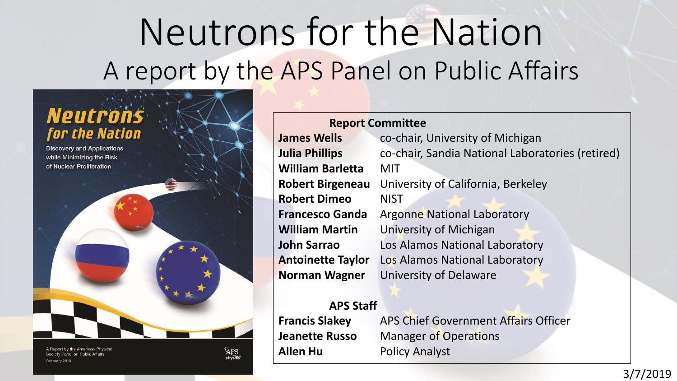# Neutrons for the Nation A report by the APS Panel on Public Affairs



A Report by the American Physical Society Panel on Public Affairs February 2018

**APS** 

#### **Report Committee James Wells** co-chair, University of Michigan **William Barletta** MIT **Robert Birgeneau** University of California, Berkeley **Robert Dimeo** NIST **Francesco Ganda** Argonne National Laboratory **William Martin** University of Michigan **John Sarrao** Los Alamos National Laboratory **Antoinette Taylor** Los Alamos National Laboratory

**Julia Phillips** co-chair, Sandia National Laboratories (retired) **Norman Wagner** University of Delaware

**APS Staff**

**Francis Slakey** APS Chief Government Affairs Officer **Jeanette Russo** Manager of Operations **Allen Hu** Policy Analyst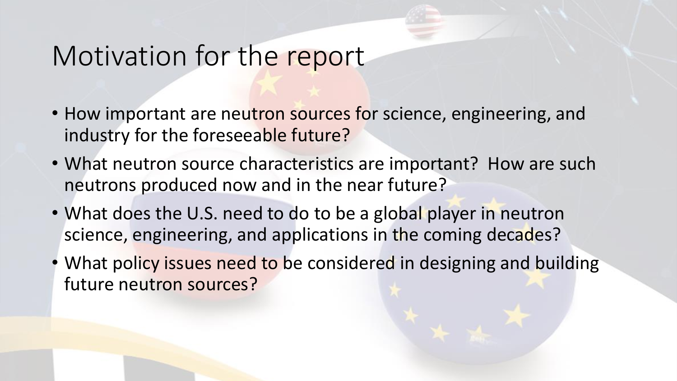## Motivation for the report

- How important are neutron sources for science, engineering, and industry for the foreseeable future?
- What neutron source characteristics are important? How are such neutrons produced now and in the near future?
- What does the U.S. need to do to be a global player in neutron science, engineering, and applications in the coming decades?
- What policy issues need to be considered in designing and building future neutron sources?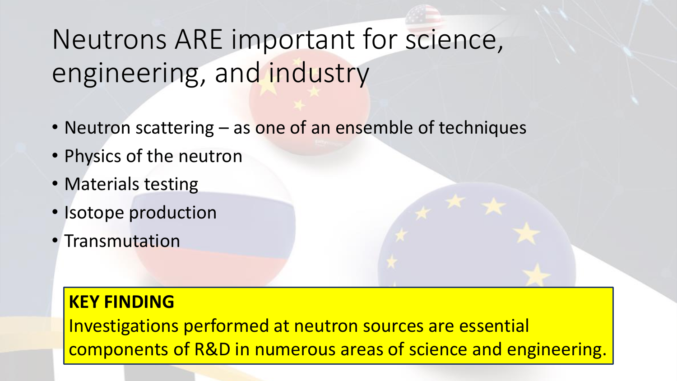# Neutrons ARE important for science, engineering, and industry

- Neutron scattering as one of an ensemble of techniques
- Physics of the neutron
- Materials testing
- Isotope production
- Transmutation

### **KEY FINDING**

Investigations performed at neutron sources are essential components of R&D in numerous areas of science and engineering.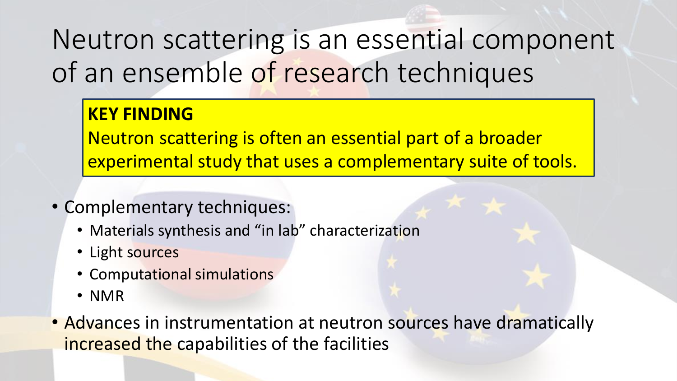# Neutron scattering is an essential component of an ensemble of research techniques

### **KEY FINDING**

Neutron scattering is often an essential part of a broader experimental study that uses a complementary suite of tools.

- Complementary techniques:
	- Materials synthesis and "in lab" characterization
	- Light sources
	- Computational simulations
	- NMR
- Advances in instrumentation at neutron sources have dramatically increased the capabilities of the facilities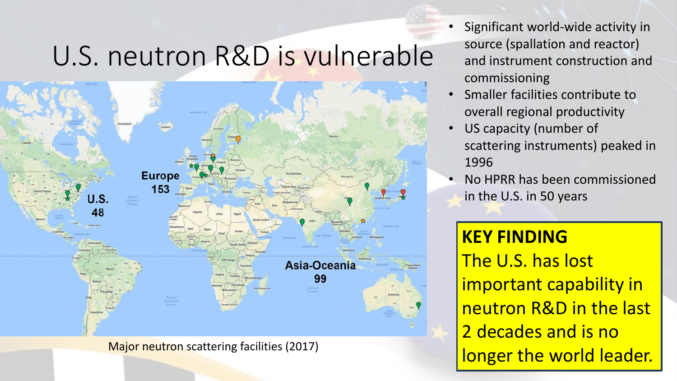## U.S. neutron R&D is vulnerable



Major neutron scattering facilities (2017)

- Significant world-wide activity in source (spallation and reactor) and instrument construction and commissioning
- Smaller facilities contribute to overall regional productivity
- US capacity (number of scattering instruments) peaked in 1996
- No HPRR has been commissioned in the U.S. in 50 years

## **KEY FINDING**

The U.S. has lost important capability in neutron R&D in the last 2 decades and is no longer the world leader.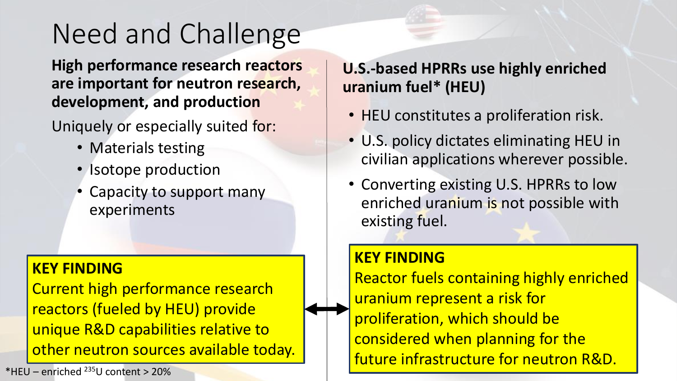# Need and Challenge

**High performance research reactors are important for neutron research, development, and production**

Uniquely or especially suited for:

- Materials testing
- Isotope production
- Capacity to support many experiments

#### **KEY FINDING**

Current high performance research reactors (fueled by HEU) provide unique R&D capabilities relative to other neutron sources available today.

 $*$ HFU – enriched  $^{235}$ U content > 20%

### **U.S.-based HPRRs use highly enriched uranium fuel\* (HEU)**

- HEU constitutes a proliferation risk.
- U.S. policy dictates eliminating HEU in civilian applications wherever possible.
- Converting existing U.S. HPRRs to low enriched uranium is not possible with existing fuel.

#### **KEY FINDING**

Reactor fuels containing highly enriched uranium represent a risk for proliferation, which should be considered when planning for the future infrastructure for neutron R&D.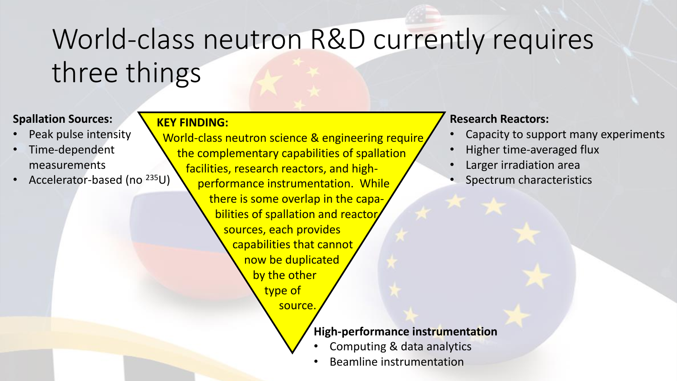# World-class neutron R&D currently requires three things

#### **Spallation Sources:**

- Peak pulse intensity
- Time-dependent measurements
- Accelerator-based (no <sup>235</sup>U)

**KEY FINDING:** World-class neutron science & engineering require the complementary capabilities of spallation facilities, research reactors, and highperformance instrumentation. While there is some overlap in the capabilities of spallation and reactor sources, each provides capabilities that cannot now be duplicated by the other type of source.

#### **Research Reactors:**

- Capacity to support many experiments
- Higher time-averaged flux
- Larger irradiation area
- Spectrum characteristics

#### **High-performance instrumentation**

- Computing & data analytics
- Beamline instrumentation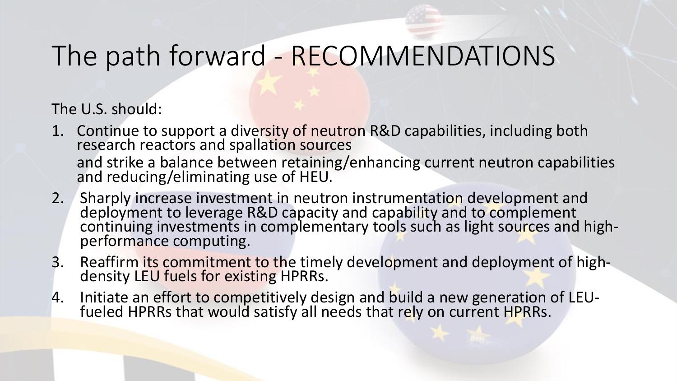# The path forward - RECOMMENDATIONS

The U.S. should:

- 1. Continue to support a diversity of neutron R&D capabilities, including both research reactors and spallation sources and strike a balance between retaining/enhancing current neutron capabilities and reducing/eliminating use of HEU.
- 2. Sharply increase investment in neutron instrumentation development and deployment to leverage R&D capacity and capability and to complement continuing investments in complementary tools such as light sources and highperformance computing.
- 3. Reaffirm its commitment to the timely development and deployment of highdensity LEU fuels for existing HPRRs.
- 4. Initiate an effort to competitively design and build a new generation of LEUfueled HPRRs that would satisfy all needs that rely on current HPRRs.